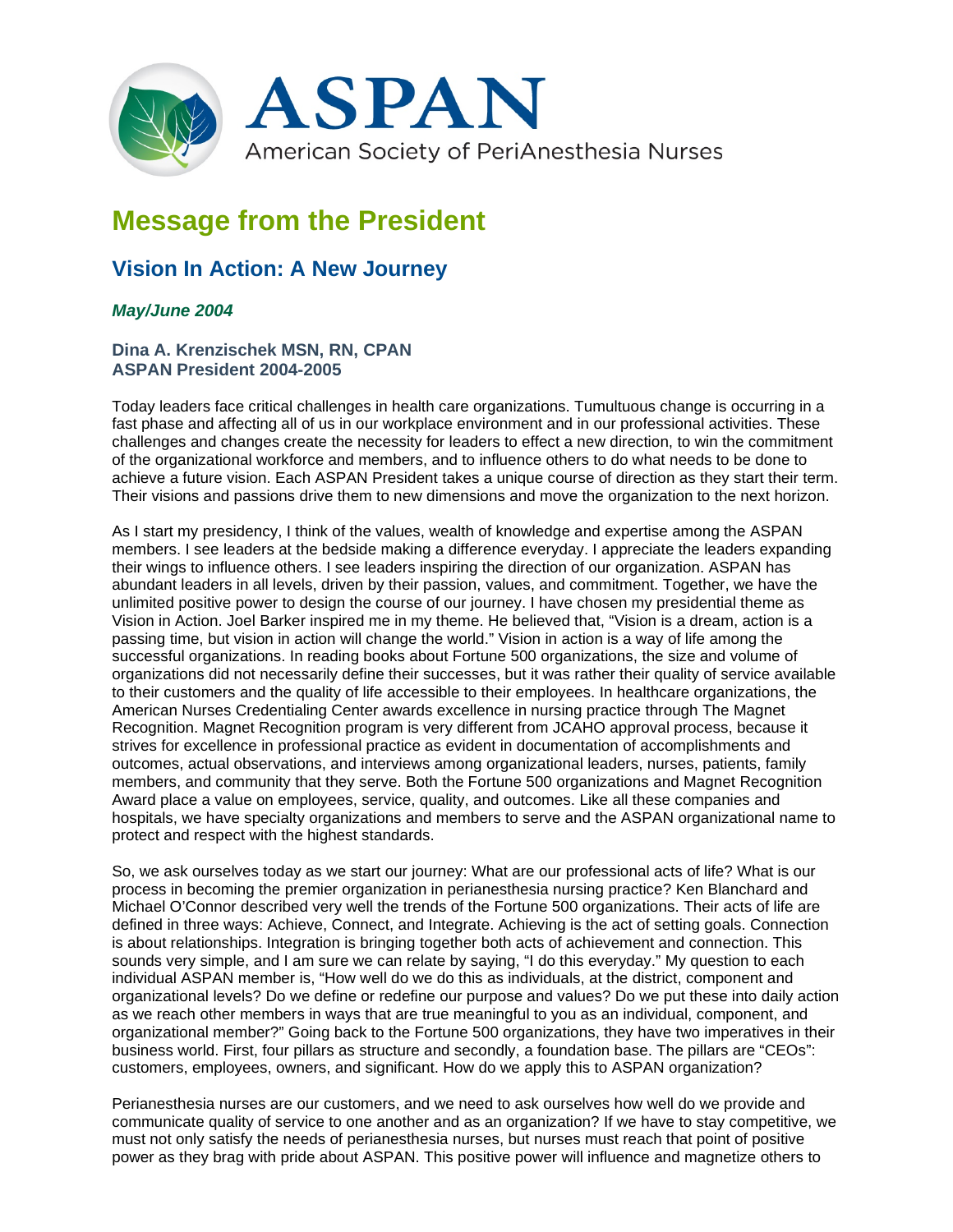

# **Message from the President**

# **Vision In Action: A New Journey**

## *May/June 2004*

### **Dina A. Krenzischek MSN, RN, CPAN ASPAN President 2004-2005**

Today leaders face critical challenges in health care organizations. Tumultuous change is occurring in a fast phase and affecting all of us in our workplace environment and in our professional activities. These challenges and changes create the necessity for leaders to effect a new direction, to win the commitment of the organizational workforce and members, and to influence others to do what needs to be done to achieve a future vision. Each ASPAN President takes a unique course of direction as they start their term. Their visions and passions drive them to new dimensions and move the organization to the next horizon.

As I start my presidency, I think of the values, wealth of knowledge and expertise among the ASPAN members. I see leaders at the bedside making a difference everyday. I appreciate the leaders expanding their wings to influence others. I see leaders inspiring the direction of our organization. ASPAN has abundant leaders in all levels, driven by their passion, values, and commitment. Together, we have the unlimited positive power to design the course of our journey. I have chosen my presidential theme as Vision in Action. Joel Barker inspired me in my theme. He believed that, "Vision is a dream, action is a passing time, but vision in action will change the world." Vision in action is a way of life among the successful organizations. In reading books about Fortune 500 organizations, the size and volume of organizations did not necessarily define their successes, but it was rather their quality of service available to their customers and the quality of life accessible to their employees. In healthcare organizations, the American Nurses Credentialing Center awards excellence in nursing practice through The Magnet Recognition. Magnet Recognition program is very different from JCAHO approval process, because it strives for excellence in professional practice as evident in documentation of accomplishments and outcomes, actual observations, and interviews among organizational leaders, nurses, patients, family members, and community that they serve. Both the Fortune 500 organizations and Magnet Recognition Award place a value on employees, service, quality, and outcomes. Like all these companies and hospitals, we have specialty organizations and members to serve and the ASPAN organizational name to protect and respect with the highest standards.

So, we ask ourselves today as we start our journey: What are our professional acts of life? What is our process in becoming the premier organization in perianesthesia nursing practice? Ken Blanchard and Michael O'Connor described very well the trends of the Fortune 500 organizations. Their acts of life are defined in three ways: Achieve, Connect, and Integrate. Achieving is the act of setting goals. Connection is about relationships. Integration is bringing together both acts of achievement and connection. This sounds very simple, and I am sure we can relate by saying, "I do this everyday." My question to each individual ASPAN member is, "How well do we do this as individuals, at the district, component and organizational levels? Do we define or redefine our purpose and values? Do we put these into daily action as we reach other members in ways that are true meaningful to you as an individual, component, and organizational member?" Going back to the Fortune 500 organizations, they have two imperatives in their business world. First, four pillars as structure and secondly, a foundation base. The pillars are "CEOs": customers, employees, owners, and significant. How do we apply this to ASPAN organization?

Perianesthesia nurses are our customers, and we need to ask ourselves how well do we provide and communicate quality of service to one another and as an organization? If we have to stay competitive, we must not only satisfy the needs of perianesthesia nurses, but nurses must reach that point of positive power as they brag with pride about ASPAN. This positive power will influence and magnetize others to